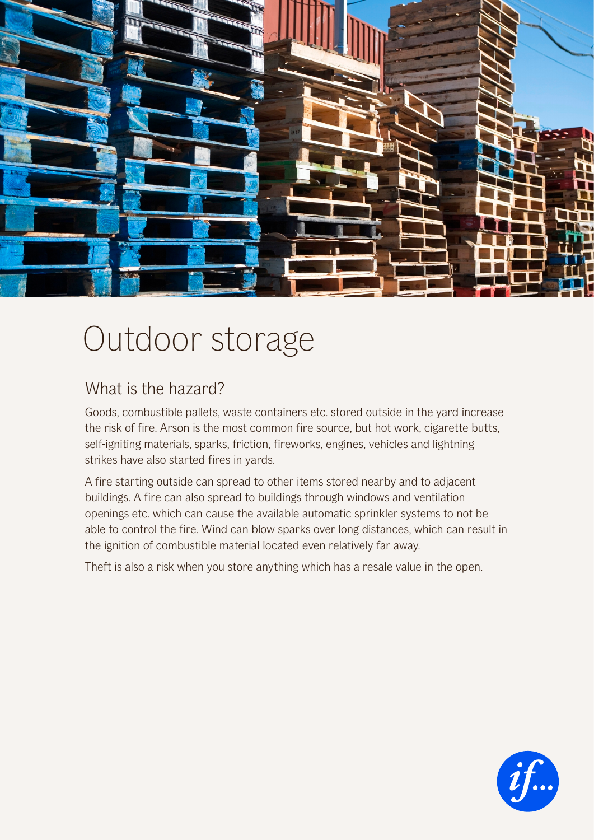

## Outdoor storage

## What is the hazard?

Goods, combustible pallets, waste containers etc. stored outside in the yard increase the risk of fire. Arson is the most common fire source, but hot work, cigarette butts, self-igniting materials, sparks, friction, fireworks, engines, vehicles and lightning strikes have also started fires in yards.

A fire starting outside can spread to other items stored nearby and to adjacent buildings. A fire can also spread to buildings through windows and ventilation openings etc. which can cause the available automatic sprinkler systems to not be able to control the fire. Wind can blow sparks over long distances, which can result in the ignition of combustible material located even relatively far away.

Theft is also a risk when you store anything which has a resale value in the open.

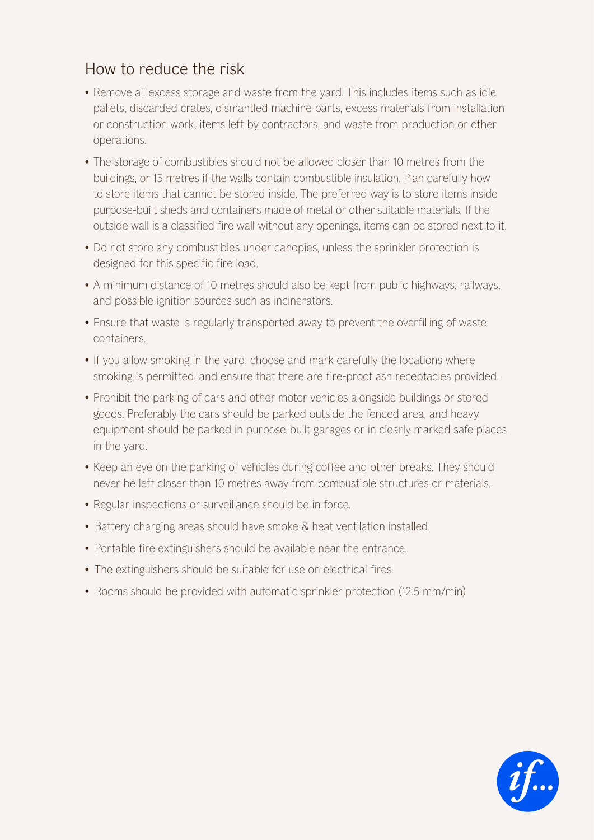## How to reduce the risk

- Remove all excess storage and waste from the yard. This includes items such as idle pallets, discarded crates, dismantled machine parts, excess materials from installation or construction work, items left by contractors, and waste from production or other operations.
- The storage of combustibles should not be allowed closer than 10 metres from the buildings, or 15 metres if the walls contain combustible insulation. Plan carefully how to store items that cannot be stored inside. The preferred way is to store items inside purpose-built sheds and containers made of metal or other suitable materials. If the outside wall is a classified fire wall without any openings, items can be stored next to it.
- Do not store any combustibles under canopies, unless the sprinkler protection is designed for this specific fire load.
- A minimum distance of 10 metres should also be kept from public highways, railways, and possible ignition sources such as incinerators.
- Ensure that waste is regularly transported away to prevent the overfilling of waste containers.
- If you allow smoking in the yard, choose and mark carefully the locations where smoking is permitted, and ensure that there are fire-proof ash receptacles provided.
- Prohibit the parking of cars and other motor vehicles alongside buildings or stored goods. Preferably the cars should be parked outside the fenced area, and heavy equipment should be parked in purpose-built garages or in clearly marked safe places in the yard.
- Keep an eye on the parking of vehicles during coffee and other breaks. They should never be left closer than 10 metres away from combustible structures or materials.
- Regular inspections or surveillance should be in force.
- Battery charging areas should have smoke & heat ventilation installed.
- Portable fire extinguishers should be available near the entrance.
- The extinguishers should be suitable for use on electrical fires.
- Rooms should be provided with automatic sprinkler protection (12.5 mm/min)